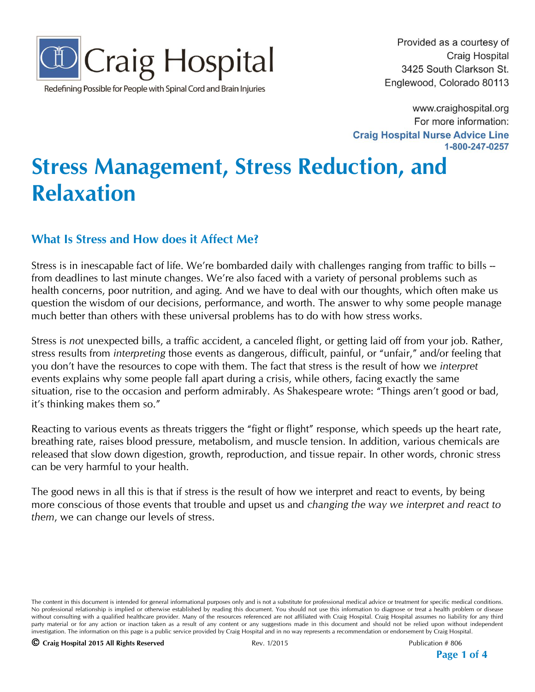

www.craighospital.org For more information: **Craig Hospital Nurse Advice Line** 1-800-247-0257

# **Stress Management, Stress Reduction, and Relaxation**

## **What Is Stress and How does it Affect Me?**

Stress is in inescapable fact of life. We're bombarded daily with challenges ranging from traffic to bills - from deadlines to last minute changes. We're also faced with a variety of personal problems such as health concerns, poor nutrition, and aging. And we have to deal with our thoughts, which often make us question the wisdom of our decisions, performance, and worth. The answer to why some people manage much better than others with these universal problems has to do with how stress works.

Stress is *not* unexpected bills, a traffic accident, a canceled flight, or getting laid off from your job. Rather, stress results from *interpreting* those events as dangerous, difficult, painful, or "unfair," and/or feeling that you don't have the resources to cope with them. The fact that stress is the result of how we *interpret* events explains why some people fall apart during a crisis, while others, facing exactly the same situation, rise to the occasion and perform admirably. As Shakespeare wrote: "Things aren't good or bad, it's thinking makes them so."

Reacting to various events as threats triggers the "fight or flight" response, which speeds up the heart rate, breathing rate, raises blood pressure, metabolism, and muscle tension. In addition, various chemicals are released that slow down digestion, growth, reproduction, and tissue repair. In other words, chronic stress can be very harmful to your health.

The good news in all this is that if stress is the result of how we interpret and react to events, by being more conscious of those events that trouble and upset us and *changing the way we interpret and react to them*, we can change our levels of stress.

The content in this document is intended for general informational purposes only and is not a substitute for professional medical advice or treatment for specific medical conditions. No professional relationship is implied or otherwise established by reading this document. You should not use this information to diagnose or treat a health problem or disease without consulting with a qualified healthcare provider. Many of the resources referenced are not affiliated with Craig Hospital. Craig Hospital assumes no liability for any third party material or for any action or inaction taken as a result of any content or any suggestions made in this document and should not be relied upon without independent investigation. The information on this page is a public service provided by Craig Hospital and in no way represents a recommendation or endorsement by Craig Hospital.

**C Craig Hospital 2015 All Rights Reserved** Rev. 1/2015 **Rev. 1/2015** Publication # 806

**Page 1 of 4**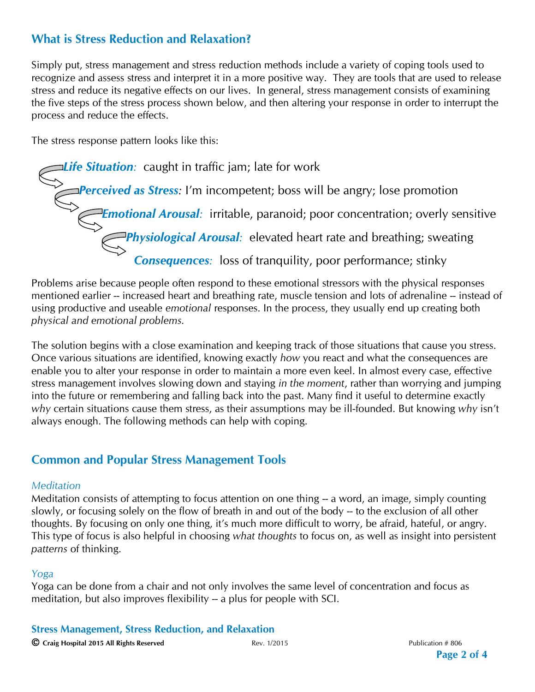## **What is Stress Reduction and Relaxation?**

Simply put, stress management and stress reduction methods include a variety of coping tools used to recognize and assess stress and interpret it in a more positive way. They are tools that are used to release stress and reduce its negative effects on our lives. In general, stress management consists of examining the five steps of the stress process shown below, and then altering your response in order to interrupt the process and reduce the effects.

The stress response pattern looks like this:

*Life Situation:* caught in traffic jam; late for work **Perceived as Stress**: I'm incompetent; boss will be angry; lose promotion *Emotional Arousal:* irritable, paranoid; poor concentration; overly sensitive *Physiological Arousal:* elevated heart rate and breathing; sweating *Consequences:* loss of tranquility, poor performance; stinky

Problems arise because people often respond to these emotional stressors with the physical responses mentioned earlier -- increased heart and breathing rate, muscle tension and lots of adrenaline -- instead of using productive and useable *emotional* responses. In the process, they usually end up creating both *physical and emotional problems.*

The solution begins with a close examination and keeping track of those situations that cause you stress. Once various situations are identified, knowing exactly *how* you react and what the consequences are enable you to alter your response in order to maintain a more even keel. In almost every case, effective stress management involves slowing down and staying *in the moment*, rather than worrying and jumping into the future or remembering and falling back into the past. Many find it useful to determine exactly *why* certain situations cause them stress, as their assumptions may be ill-founded. But knowing *why* isn't always enough. The following methods can help with coping.

## **Common and Popular Stress Management Tools**

#### *Meditation*

Meditation consists of attempting to focus attention on one thing -- a word, an image, simply counting slowly, or focusing solely on the flow of breath in and out of the body -- to the exclusion of all other thoughts. By focusing on only one thing, it's much more difficult to worry, be afraid, hateful, or angry. This type of focus is also helpful in choosing *what thoughts* to focus on, as well as insight into persistent *patterns* of thinking.

#### *Yoga*

Yoga can be done from a chair and not only involves the same level of concentration and focus as meditation, but also improves flexibility -- a plus for people with SCI.

#### **Stress Management, Stress Reduction, and Relaxation**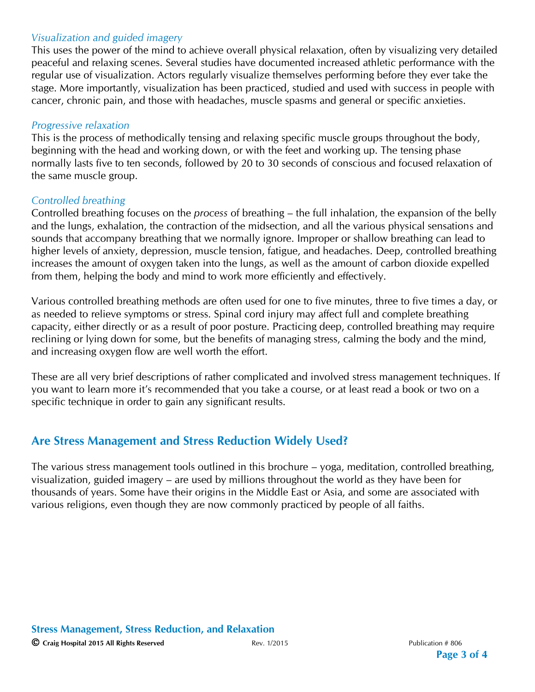#### *Visualization and guided imagery*

This uses the power of the mind to achieve overall physical relaxation, often by visualizing very detailed peaceful and relaxing scenes. Several studies have documented increased athletic performance with the regular use of visualization. Actors regularly visualize themselves performing before they ever take the stage. More importantly, visualization has been practiced, studied and used with success in people with cancer, chronic pain, and those with headaches, muscle spasms and general or specific anxieties.

#### *Progressive relaxation*

This is the process of methodically tensing and relaxing specific muscle groups throughout the body, beginning with the head and working down, or with the feet and working up. The tensing phase normally lasts five to ten seconds, followed by 20 to 30 seconds of conscious and focused relaxation of the same muscle group.

## *Controlled breathing*

Controlled breathing focuses on the *process* of breathing – the full inhalation, the expansion of the belly and the lungs, exhalation, the contraction of the midsection, and all the various physical sensations and sounds that accompany breathing that we normally ignore. Improper or shallow breathing can lead to higher levels of anxiety, depression, muscle tension, fatigue, and headaches. Deep, controlled breathing increases the amount of oxygen taken into the lungs, as well as the amount of carbon dioxide expelled from them, helping the body and mind to work more efficiently and effectively.

Various controlled breathing methods are often used for one to five minutes, three to five times a day, or as needed to relieve symptoms or stress. Spinal cord injury may affect full and complete breathing capacity, either directly or as a result of poor posture. Practicing deep, controlled breathing may require reclining or lying down for some, but the benefits of managing stress, calming the body and the mind, and increasing oxygen flow are well worth the effort.

These are all very brief descriptions of rather complicated and involved stress management techniques. If you want to learn more it's recommended that you take a course, or at least read a book or two on a specific technique in order to gain any significant results.

# **Are Stress Management and Stress Reduction Widely Used?**

The various stress management tools outlined in this brochure – yoga, meditation, controlled breathing, visualization, guided imagery – are used by millions throughout the world as they have been for thousands of years. Some have their origins in the Middle East or Asia, and some are associated with various religions, even though they are now commonly practiced by people of all faiths.